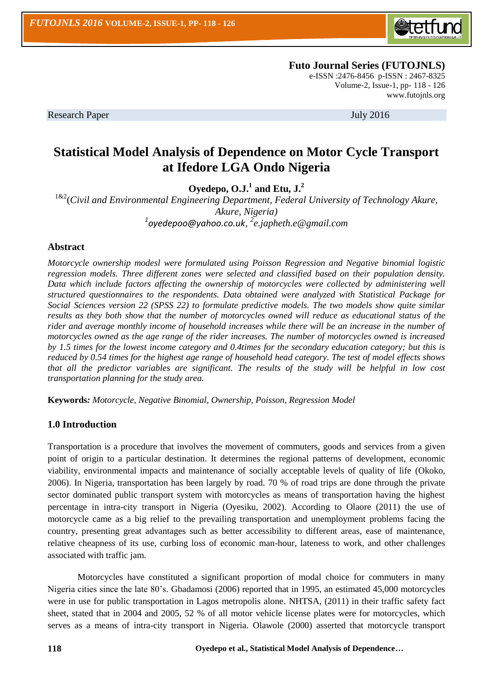

[www.futojnls.org](http://www.futojnls.org/)

 **Futo Journal Series (FUTOJNLS)** e-ISSN :2476-8456 p-ISSN : 2467-8325 Volume-2, Issue-1, pp- 118 - 126

Research Paper July 2016

# **Statistical Model Analysis of Dependence on Motor Cycle Transport at Ifedore LGA Ondo Nigeria**

**Oyedepo, O.J.<sup>1</sup> and Etu, J.<sup>2</sup>**

1&2(*Civil and Environmental Engineering Department, Federal University of Technology Akure, Akure, Nigeria) 1 [oyedepoo@yahoo.co.uk](mailto:oyedepoo@yahoo.co.uk), 2 [e.japheth.e@gmail.com](mailto:e.japheth.e@gmail.com)*

## **Abstract**

*Motorcycle ownership modesl were formulated using Poisson Regression and Negative binomial logistic regression models. Three different zones were selected and classified based on their population density. Data which include factors affecting the ownership of motorcycles were collected by administering well structured questionnaires to the respondents. Data obtained were analyzed with Statistical Package for Social Sciences version 22 (SPSS 22) to formulate predictive models. The two models show quite similar results as they both show that the number of motorcycles owned will reduce as educational status of the rider and average monthly income of household increases while there will be an increase in the number of motorcycles owned as the age range of the rider increases. The number of motorcycles owned is increased by 1.5 times for the lowest income category and 0.4times for the secondary education category; but this is reduced by 0.54 times for the highest age range of household head category. The test of model effects shows that all the predictor variables are significant. The results of the study will be helpful in low cost transportation planning for the study area.*

**Keywords***: Motorcycle, Negative Binomial, Ownership, Poisson, Regression Model*

#### **1.0 Introduction**

Transportation is a procedure that involves the movement of commuters, goods and services from a given point of origin to a particular destination. It determines the regional patterns of development, economic viability, environmental impacts and maintenance of socially acceptable levels of quality of life (Okoko, 2006). In Nigeria, transportation has been largely by road. 70 % of road trips are done through the private sector dominated public transport system with motorcycles as means of transportation having the highest percentage in intra-city transport in Nigeria (Oyesiku, 2002). According to Olaore (2011) the use of motorcycle came as a big relief to the prevailing transportation and unemployment problems facing the country, presenting great advantages such as better accessibility to different areas, ease of maintenance, relative cheapness of its use, curbing loss of economic man-hour, lateness to work, and other challenges associated with traffic jam.

Motorcycles have constituted a significant proportion of modal choice for commuters in many Nigeria cities since the late 80's. Gbadamosi (2006) reported that in 1995, an estimated 45,000 motorcycles were in use for public transportation in Lagos metropolis alone. NHTSA, (2011) in their traffic safety fact sheet, stated that in 2004 and 2005, 52 % of all motor vehicle license plates were for motorcycles, which serves as a means of intra-city transport in Nigeria. Olawole (2000) asserted that motorcycle transport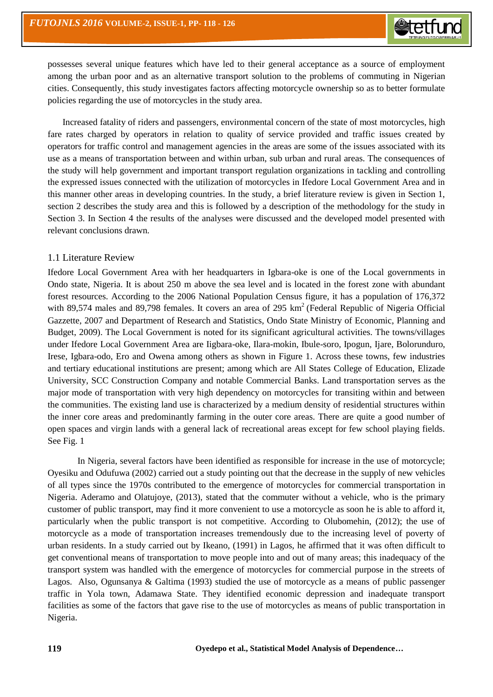

possesses several unique features which have led to their general acceptance as a source of employment among the urban poor and as an alternative transport solution to the problems of commuting in Nigerian cities. Consequently, this study investigates factors affecting motorcycle ownership so as to better formulate policies regarding the use of motorcycles in the study area.

Increased fatality of riders and passengers, environmental concern of the state of most motorcycles, high fare rates charged by operators in relation to quality of service provided and traffic issues created by operators for traffic control and management agencies in the areas are some of the issues associated with its use as a means of transportation between and within urban, sub urban and rural areas. The consequences of the study will help government and important transport regulation organizations in tackling and controlling the expressed issues connected with the utilization of motorcycles in Ifedore Local Government Area and in this manner other areas in developing countries. In the study, a brief literature review is given in Section 1, section 2 describes the study area and this is followed by a description of the methodology for the study in Section 3. In Section 4 the results of the analyses were discussed and the developed model presented with relevant conclusions drawn.

#### 1.1 Literature Review

Ifedore Local Government Area with her headquarters in Igbara-oke is one of the Local governments in Ondo state, Nigeria. It is about 250 m above the sea level and is located in the forest zone with abundant forest resources. According to the 2006 National Population Census figure, it has a population of 176,372 with 89,574 males and 89,798 females. It covers an area of 295  $km<sup>2</sup>$  (Federal Republic of Nigeria Official Gazzette, 2007 and Department of Research and Statistics, Ondo State Ministry of Economic, Planning and Budget, 2009). The Local Government is noted for its significant agricultural activities. The towns/villages under Ifedore Local Government Area are Iigbara-oke, Ilara-mokin, Ibule-soro, Ipogun, Ijare, Bolorunduro, Irese, Igbara-odo, Ero and Owena among others as shown in Figure 1. Across these towns, few industries and tertiary educational institutions are present; among which are All States College of Education, Elizade University, SCC Construction Company and notable Commercial Banks. Land transportation serves as the major mode of transportation with very high dependency on motorcycles for transiting within and between the communities. The existing land use is characterized by a medium density of residential structures within the inner core areas and predominantly farming in the outer core areas. There are quite a good number of open spaces and virgin lands with a general lack of recreational areas except for few school playing fields. See Fig. 1

In Nigeria, several factors have been identified as responsible for increase in the use of motorcycle; Oyesiku and Odufuwa (2002) carried out a study pointing out that the decrease in the supply of new vehicles of all types since the 1970s contributed to the emergence of motorcycles for commercial transportation in Nigeria. Aderamo and Olatujoye, (2013), stated that the commuter without a vehicle, who is the primary customer of public transport, may find it more convenient to use a motorcycle as soon he is able to afford it, particularly when the public transport is not competitive. According to Olubomehin, (2012); the use of motorcycle as a mode of transportation increases tremendously due to the increasing level of poverty of urban residents. In a study carried out by Ikeano, (1991) in Lagos, he affirmed that it was often difficult to get conventional means of transportation to move people into and out of many areas; this inadequacy of the transport system was handled with the emergence of motorcycles for commercial purpose in the streets of Lagos. Also, Ogunsanya & Galtima (1993) studied the use of motorcycle as a means of public passenger traffic in Yola town, Adamawa State. They identified economic depression and inadequate transport facilities as some of the factors that gave rise to the use of motorcycles as means of public transportation in Nigeria.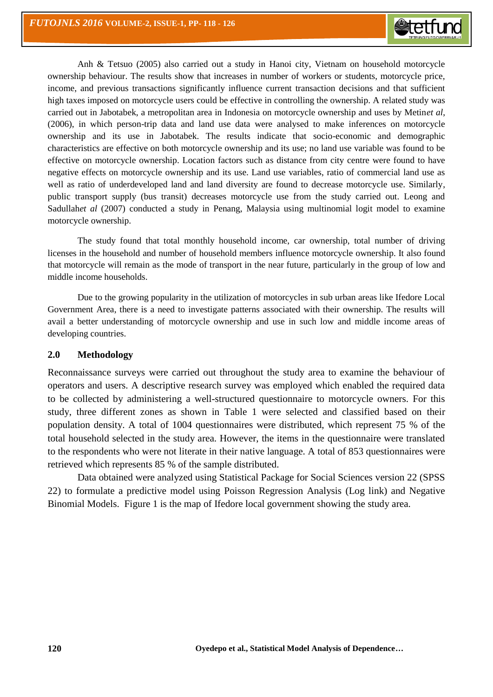

Anh & Tetsuo (2005) also carried out a study in Hanoi city, Vietnam on household motorcycle ownership behaviour. The results show that increases in number of workers or students, motorcycle price, income, and previous transactions significantly influence current transaction decisions and that sufficient high taxes imposed on motorcycle users could be effective in controlling the ownership. A related study was carried out in Jabotabek, a metropolitan area in Indonesia on motorcycle ownership and uses by Metin*et al*, (2006), in which person-trip data and land use data were analysed to make inferences on motorcycle ownership and its use in Jabotabek. The results indicate that socio-economic and demographic characteristics are effective on both motorcycle ownership and its use; no land use variable was found to be effective on motorcycle ownership. Location factors such as distance from city centre were found to have negative effects on motorcycle ownership and its use. Land use variables, ratio of commercial land use as well as ratio of underdeveloped land and land diversity are found to decrease motorcycle use. Similarly, public transport supply (bus transit) decreases motorcycle use from the study carried out. Leong and Sadullah*et al* (2007) conducted a study in Penang, Malaysia using multinomial logit model to examine motorcycle ownership.

The study found that total monthly household income, car ownership, total number of driving licenses in the household and number of household members influence motorcycle ownership. It also found that motorcycle will remain as the mode of transport in the near future, particularly in the group of low and middle income households.

Due to the growing popularity in the utilization of motorcycles in sub urban areas like Ifedore Local Government Area, there is a need to investigate patterns associated with their ownership. The results will avail a better understanding of motorcycle ownership and use in such low and middle income areas of developing countries.

# **2.0 Methodology**

Reconnaissance surveys were carried out throughout the study area to examine the behaviour of operators and users. A descriptive research survey was employed which enabled the required data to be collected by administering a well-structured questionnaire to motorcycle owners. For this study, three different zones as shown in Table 1 were selected and classified based on their population density. A total of 1004 questionnaires were distributed, which represent 75 % of the total household selected in the study area. However, the items in the questionnaire were translated to the respondents who were not literate in their native language. A total of 853 questionnaires were retrieved which represents 85 % of the sample distributed.

Data obtained were analyzed using Statistical Package for Social Sciences version 22 (SPSS 22) to formulate a predictive model using Poisson Regression Analysis (Log link) and Negative Binomial Models. Figure 1 is the map of Ifedore local government showing the study area.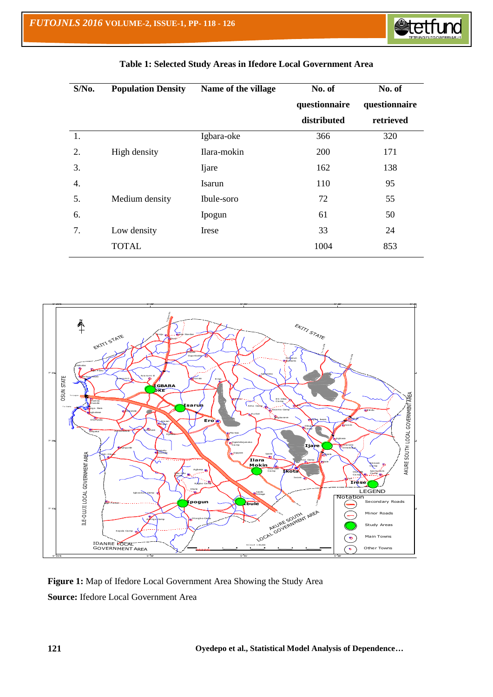

| $S/N0$ . | <b>Population Density</b> | Name of the village | No. of        | No. of        |  |
|----------|---------------------------|---------------------|---------------|---------------|--|
|          |                           |                     | questionnaire | questionnaire |  |
|          |                           |                     | distributed   | retrieved     |  |
| 1.       |                           | Igbara-oke          | 366           | 320           |  |
| 2.       | High density              | Ilara-mokin         | 200           | 171           |  |
| 3.       |                           | <b>I</b> jare       | 162           | 138           |  |
| 4.       |                           | Isarun              | 110           | 95            |  |
| 5.       | Medium density            | Ibule-soro          | 72            | 55            |  |
| 6.       |                           | Ipogun              | 61            | 50            |  |
| 7.       | Low density               | Irese               | 33            | 24            |  |
|          | <b>TOTAL</b>              |                     | 1004          | 853           |  |

# **Table 1: Selected Study Areas in Ifedore Local Government Area**



**Figure 1:** Map of Ifedore Local Government Area Showing the Study Area **Source:** Ifedore Local Government Area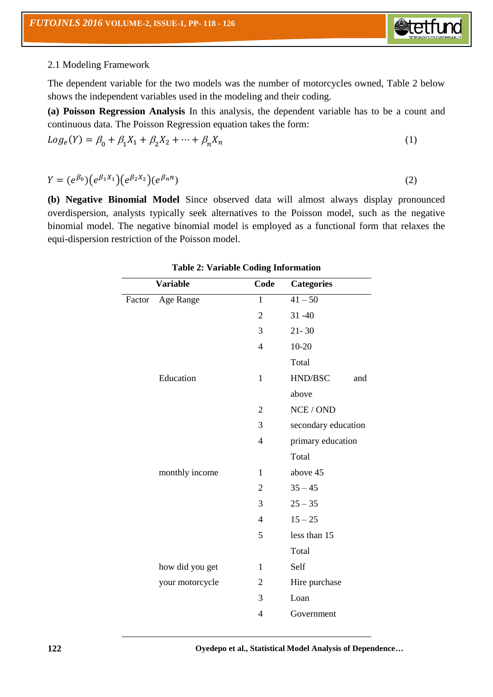

# 2.1 Modeling Framework

The dependent variable for the two models was the number of motorcycles owned, Table 2 below shows the independent variables used in the modeling and their coding.

**(a) Poisson Regression Analysis** In this analysis, the dependent variable has to be a count and continuous data. The Poisson Regression equation takes the form:

$$
Log_e(Y) = \beta_0 + \beta_1 X_1 + \beta_2 X_2 + \dots + \beta_n X_n
$$
 (1)

 $Y = (e^{\beta_0}) (e^{\beta_1 X_1}) (e^{\beta_2 X_2}) (e^{\beta_3})$  $)$  (2)

**(b) Negative Binomial Model** Since observed data will almost always display pronounced overdispersion, analysts typically seek alternatives to the Poisson model, such as the negative binomial model. The negative binomial model is employed as a functional form that relaxes the equi-dispersion restriction of the Poisson model.

|        | <b>Variable</b> | Code           | <b>Categories</b>   |
|--------|-----------------|----------------|---------------------|
| Factor | Age Range       | 1              | $41 - 50$           |
|        |                 | $\overline{2}$ | $31 - 40$           |
|        |                 | 3              | $21 - 30$           |
|        |                 | $\overline{4}$ | $10 - 20$           |
|        |                 |                | Total               |
|        | Education       | $\mathbf{1}$   | HND/BSC<br>and      |
|        |                 |                | above               |
|        |                 | $\overline{2}$ | NCE / OND           |
|        |                 | 3              | secondary education |
|        |                 | $\overline{4}$ | primary education   |
|        |                 |                | Total               |
|        | monthly income  | 1              | above 45            |
|        |                 | 2              | $35 - 45$           |
|        |                 | 3              | $25 - 35$           |
|        |                 | $\overline{4}$ | $15 - 25$           |
|        |                 | 5              | less than 15        |
|        |                 |                | Total               |
|        | how did you get | 1              | Self                |
|        | your motorcycle | $\overline{2}$ | Hire purchase       |
|        |                 | 3              | Loan                |
|        |                 | 4              | Government          |
|        |                 |                |                     |

**Table 2: Variable Coding Information**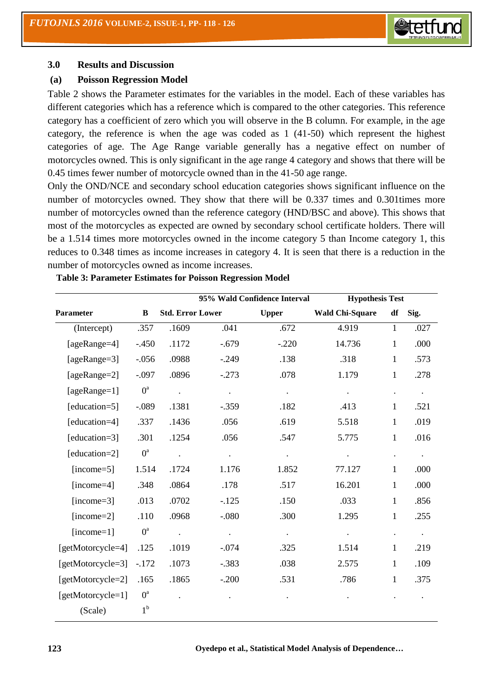

#### **3.0 Results and Discussion**

#### **(a) Poisson Regression Model**

Table 2 shows the Parameter estimates for the variables in the model. Each of these variables has different categories which has a reference which is compared to the other categories. This reference category has a coefficient of zero which you will observe in the B column. For example, in the age category, the reference is when the age was coded as 1 (41-50) which represent the highest categories of age. The Age Range variable generally has a negative effect on number of motorcycles owned. This is only significant in the age range 4 category and shows that there will be 0.45 times fewer number of motorcycle owned than in the 41-50 age range.

Only the OND/NCE and secondary school education categories shows significant influence on the number of motorcycles owned. They show that there will be 0.337 times and 0.301times more number of motorcycles owned than the reference category (HND/BSC and above). This shows that most of the motorcycles as expected are owned by secondary school certificate holders. There will be a 1.514 times more motorcycles owned in the income category 5 than Income category 1, this reduces to 0.348 times as income increases in category 4. It is seen that there is a reduction in the number of motorcycles owned as income increases.

|                   |             |                         |           | 95% Wald Confidence Interval | <b>Hypothesis Test</b> |                      |           |
|-------------------|-------------|-------------------------|-----------|------------------------------|------------------------|----------------------|-----------|
| Parameter         | B           | <b>Std. Error Lower</b> |           | <b>Upper</b>                 | <b>Wald Chi-Square</b> | df                   | Sig.      |
| (Intercept)       | .357        | .1609                   | .041      | .672                         | 4.919                  | $\mathbf{1}$         | .027      |
| [ageRange=4]      | $-.450$     | .1172                   | $-.679$   | $-.220$                      | 14.736                 | $\mathbf{1}$         | .000      |
| [ $ageRange=3$ ]  | $-0.056$    | .0988                   | $-.249$   | .138                         | .318                   | $\mathbf{1}$         | .573      |
| [ageRange=2]      | $-.097$     | .0896                   | $-.273$   | .078                         | 1.179                  | $\mathbf{1}$         | .278      |
| $[ageRange=1]$    | $0^a$       | $\ddot{\phantom{a}}$    | $\bullet$ | $\bullet$                    | $\ddot{\phantom{a}}$   | $\cdot$              | $\bullet$ |
| [education=5]     | $-.089$     | .1381                   | $-.359$   | .182                         | .413                   | $\mathbf{1}$         | .521      |
| [education=4]     | .337        | .1436                   | .056      | .619                         | 5.518                  | $\mathbf{1}$         | .019      |
| [education=3]     | .301        | .1254                   | .056      | .547                         | 5.775                  | $\mathbf{1}$         | .016      |
| [education=2]     | $0^a$       | $\ddot{\phantom{0}}$    | $\bullet$ | $\ddot{\phantom{0}}$         | $\ddot{\phantom{1}}$   | $\ddot{\phantom{a}}$ | $\bullet$ |
| $[income=5]$      | 1.514       | .1724                   | 1.176     | 1.852                        | 77.127                 | $\mathbf{1}$         | .000      |
| $[income=4]$      | .348        | .0864                   | .178      | .517                         | 16.201                 | $\mathbf{1}$         | .000      |
| $[income=3]$      | .013        | .0702                   | $-.125$   | .150                         | .033                   | $\mathbf{1}$         | .856      |
| $[income=2]$      | .110        | .0968                   | $-0.080$  | .300                         | 1.295                  | $\mathbf{1}$         | .255      |
| $(income=1]$      | $0^{\rm a}$ | $\ddot{\phantom{0}}$    | $\Box$    | $\Box$                       | $\bullet$              | $\ddot{\phantom{a}}$ | $\bullet$ |
| [getMotorcycle=4] | .125        | .1019                   | $-.074$   | .325                         | 1.514                  | 1                    | .219      |
| [getMotorcycle=3] | $-.172$     | .1073                   | $-.383$   | .038                         | 2.575                  | $\mathbf{1}$         | .109      |
| [getMotorcycle=2] | .165        | .1865                   | $-.200$   | .531                         | .786                   | $\mathbf{1}$         | .375      |
| [getMotorcycle=1] | $0^a$       |                         |           |                              |                        |                      |           |
| (Scale)           | $1^{\rm b}$ |                         |           |                              |                        |                      |           |

#### **Table 3: Parameter Estimates for Poisson Regression Model**

**123 Oyedepo et al., Statistical Model Analysis of Dependence…**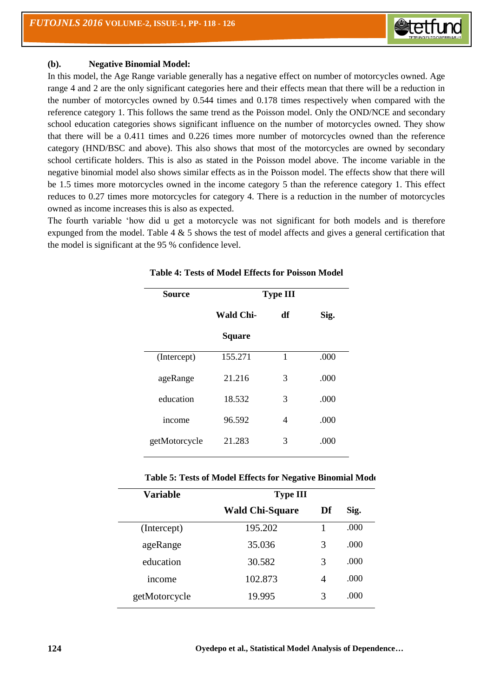

#### **(b). Negative Binomial Model:**

In this model, the Age Range variable generally has a negative effect on number of motorcycles owned. Age range 4 and 2 are the only significant categories here and their effects mean that there will be a reduction in the number of motorcycles owned by 0.544 times and 0.178 times respectively when compared with the reference category 1. This follows the same trend as the Poisson model. Only the OND/NCE and secondary school education categories shows significant influence on the number of motorcycles owned. They show that there will be a 0.411 times and 0.226 times more number of motorcycles owned than the reference category (HND/BSC and above). This also shows that most of the motorcycles are owned by secondary school certificate holders. This is also as stated in the Poisson model above. The income variable in the negative binomial model also shows similar effects as in the Poisson model. The effects show that there will be 1.5 times more motorcycles owned in the income category 5 than the reference category 1. This effect reduces to 0.27 times more motorcycles for category 4. There is a reduction in the number of motorcycles owned as income increases this is also as expected.

The fourth variable 'how did u get a motorcycle was not significant for both models and is therefore expunged from the model. Table  $4 \& 5$  shows the test of model affects and gives a general certification that the model is significant at the 95 % confidence level.

| <b>Source</b> | <b>Type III</b> |    |      |  |
|---------------|-----------------|----|------|--|
|               | Wald Chi-       | df | Sig. |  |
|               | <b>Square</b>   |    |      |  |
| (Intercept)   | 155.271         | 1  | .000 |  |
| ageRange      | 21.216          | 3  | .000 |  |
| education     | 18.532          | 3  | .000 |  |
| income        | 96.592          | 4  | .000 |  |
| getMotorcycle | 21.283          | 3  | .000 |  |

| <b>Variable</b> | <b>Type III</b>        |    |      |
|-----------------|------------------------|----|------|
|                 | <b>Wald Chi-Square</b> | Df | Sig. |
| (Intercept)     | 195.202                |    | .000 |
| ageRange        | 35.036                 | 3  | .000 |
| education       | 30.582                 | 3  | .000 |
| income          | 102.873                | 4  | .000 |
| getMotorcycle   | 19.995                 | 3  | .000 |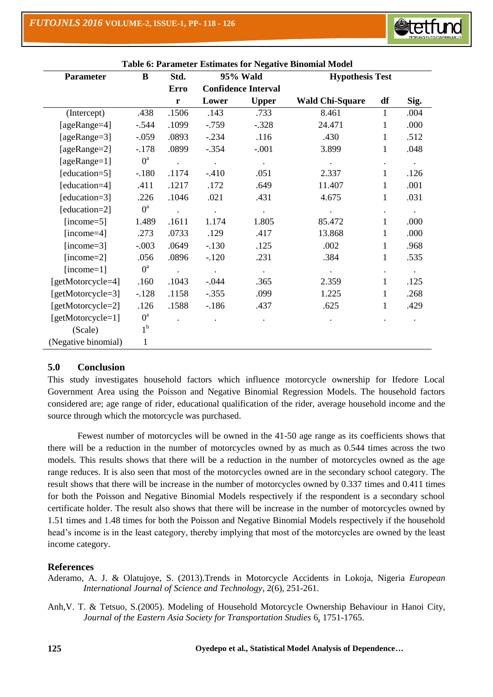| B<br><b>Parameter</b> |                | Std.                 | ic of 1 diameter Estimates for Treguere Binomial Rio<br>95% Wald |              | <b>Hypothesis Test</b> |                      |                      |
|-----------------------|----------------|----------------------|------------------------------------------------------------------|--------------|------------------------|----------------------|----------------------|
|                       |                | <b>Erro</b>          | <b>Confidence Interval</b>                                       |              |                        |                      |                      |
|                       |                | $\mathbf{r}$         | Lower                                                            | <b>Upper</b> | <b>Wald Chi-Square</b> | df                   | Sig.                 |
| (Intercept)           | .438           | .1506                | .143                                                             | .733         | 8.461                  | $\mathbf{1}$         | .004                 |
| [ageRange=4]          | $-.544$        | .1099                | $-0.759$                                                         | $-.328$      | 24.471                 | 1                    | .000                 |
| [ageRange=3]          | $-.059$        | .0893                | $-.234$                                                          | .116         | .430                   | 1                    | .512                 |
| [ageRange=2]          | $-.178$        | .0899                | $-.354$                                                          | $-.001$      | 3.899                  | 1                    | .048                 |
| [ageRange=1]          | $0^a$          | $\ddot{\phantom{a}}$ | $\bullet$                                                        | $\bullet$    | $\bullet$              |                      | $\ddot{\phantom{a}}$ |
| [education=5]         | $-.180$        | .1174                | $-410$                                                           | .051         | 2.337                  | 1                    | .126                 |
| [education=4]         | .411           | .1217                | .172                                                             | .649         | 11.407                 | 1                    | .001                 |
| [education=3]         | .226           | .1046                | .021                                                             | .431         | 4.675                  | 1                    | .031                 |
| [education=2]         | $0^a$          | $\ddot{\phantom{a}}$ | $\bullet$                                                        | $\bullet$    | $\bullet$              | $\ddot{\phantom{0}}$ | $\bullet$            |
| $[income=5]$          | 1.489          | .1611                | 1.174                                                            | 1.805        | 85.472                 | $\mathbf{1}$         | .000                 |
| $[income=4]$          | .273           | .0733                | .129                                                             | .417         | 13.868                 | $\mathbf{1}$         | .000                 |
| $[income=3]$          | $-.003$        | .0649                | $-.130$                                                          | .125         | .002                   | 1                    | .968                 |
| $[income=2]$          | .056           | .0896                | $-120$                                                           | .231         | .384                   | 1                    | .535                 |
| $[income=1]$          | $0^a$          | $\bullet$            | $\bullet$                                                        | $\cdot$      | $\bullet$              |                      | $\bullet$            |
| [getMotorcycle=4]     | .160           | .1043                | $-0.044$                                                         | .365         | 2.359                  | $\mathbf{1}$         | .125                 |
| [getMotorcycle=3]     | $-.128$        | .1158                | $-.355$                                                          | .099         | 1.225                  | 1                    | .268                 |
| [getMotorcycle=2]     | .126           | .1588                | $-186$                                                           | .437         | .625                   | 1                    | .429                 |
| [getMotorcycle=1]     | $0^{\rm a}$    |                      |                                                                  |              |                        |                      |                      |
| (Scale)               | 1 <sup>b</sup> |                      |                                                                  |              |                        |                      |                      |
| (Negative binomial)   | $\mathbf{1}$   |                      |                                                                  |              |                        |                      |                      |

## **Table 6: Parameter Estimates for Negative Binomial Model**

**Steth** 

## **5.0 Conclusion**

This study investigates household factors which influence motorcycle ownership for Ifedore Local Government Area using the Poisson and Negative Binomial Regression Models. The household factors considered are; age range of rider, educational qualification of the rider, average household income and the source through which the motorcycle was purchased.

Fewest number of motorcycles will be owned in the 41-50 age range as its coefficients shows that there will be a reduction in the number of motorcycles owned by as much as 0.544 times across the two models. This results shows that there will be a reduction in the number of motorcycles owned as the age range reduces. It is also seen that most of the motorcycles owned are in the secondary school category. The result shows that there will be increase in the number of motorcycles owned by 0.337 times and 0.411 times for both the Poisson and Negative Binomial Models respectively if the respondent is a secondary school certificate holder. The result also shows that there will be increase in the number of motorcycles owned by 1.51 times and 1.48 times for both the Poisson and Negative Binomial Models respectively if the household head's income is in the least category, thereby implying that most of the motorcycles are owned by the least income category.

#### **References**

- Aderamo, A. J. & Olatujoye, S. (2013).Trends in Motorcycle Accidents in Lokoja, Nigeria *European International Journal of Science and Technology*, 2(6), 251-261.
- Anh,V. T. & Tetsuo, S.(2005). Modeling of Household Motorcycle Ownership Behaviour in Hanoi City, *Journal of the Eastern Asia Society for Transportation Studies* [6,](https://www.jstage.jst.go.jp/AF06S010SryTopHyj?sryCd=easts&noVol=6&noIssue=) 1751-1765.